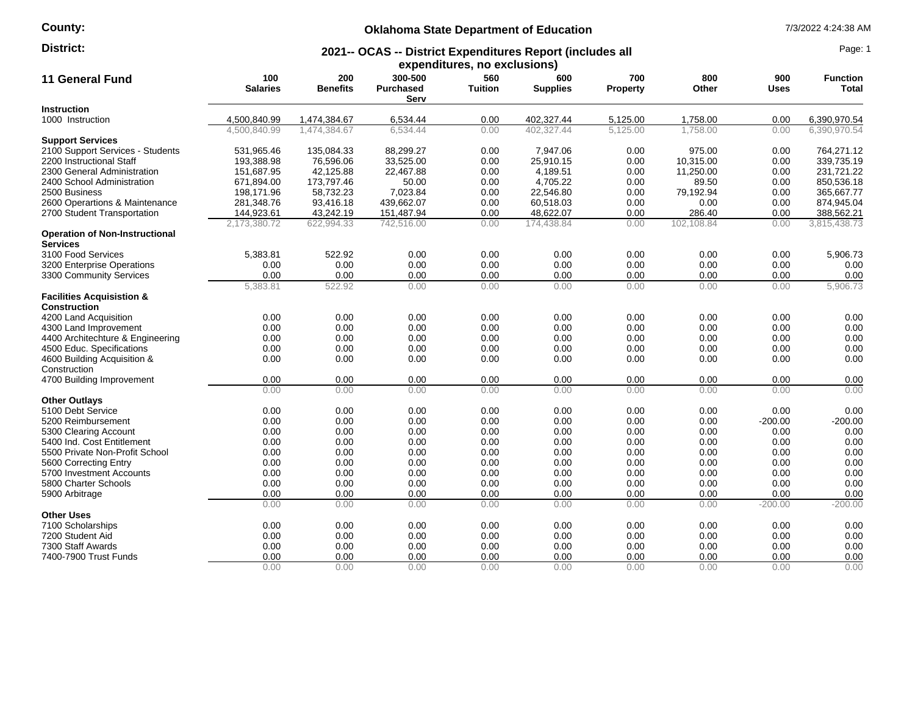#### **County:**

# **Oklahoma State Department of Education** 7/3/2022 4:24:38 AM

#### **2021-- OCAS -- District Expenditures Report (includes all District:** Page: 1

| <b>11 General Fund</b>                                   | 100<br><b>Salaries</b> | 200<br><b>Benefits</b> | 300-500<br><b>Purchased</b><br>Serv | expenditures, no exclusions)<br>560<br><b>Tuition</b> | 600<br><b>Supplies</b> | 700<br><b>Property</b> | 800<br>Other | 900<br><b>Uses</b> | <b>Function</b><br>Total |
|----------------------------------------------------------|------------------------|------------------------|-------------------------------------|-------------------------------------------------------|------------------------|------------------------|--------------|--------------------|--------------------------|
| <b>Instruction</b>                                       |                        |                        |                                     |                                                       |                        |                        |              |                    |                          |
| 1000 Instruction                                         | 4,500,840.99           | 1,474,384.67           | 6,534.44                            | 0.00                                                  | 402,327.44             | 5,125.00               | 1,758.00     | 0.00               | 6,390,970.54             |
|                                                          | 4.500.840.99           | 1.474.384.67           | 6.534.44                            | 0.00                                                  | 402.327.44             | 5.125.00               | 1.758.00     | 0.00               | 6.390.970.54             |
| <b>Support Services</b>                                  |                        |                        |                                     |                                                       |                        |                        |              |                    |                          |
| 2100 Support Services - Students                         | 531,965.46             | 135,084.33             | 88,299.27                           | 0.00                                                  | 7,947.06               | 0.00                   | 975.00       | 0.00               | 764,271.12               |
| 2200 Instructional Staff                                 | 193,388.98             | 76,596.06              | 33,525.00                           | 0.00                                                  | 25,910.15              | 0.00                   | 10,315.00    | 0.00               | 339,735.19               |
| 2300 General Administration                              | 151,687.95             | 42,125.88              | 22,467.88                           | 0.00                                                  | 4,189.51               | 0.00                   | 11,250.00    | 0.00               | 231,721.22               |
| 2400 School Administration                               | 671,894.00             | 173,797.46             | 50.00                               | 0.00                                                  | 4,705.22               | 0.00                   | 89.50        | 0.00               | 850,536.18               |
| 2500 Business                                            | 198,171.96             | 58,732.23              | 7,023.84                            | 0.00                                                  | 22,546.80              | 0.00                   | 79,192.94    | 0.00               | 365,667.77               |
| 2600 Operartions & Maintenance                           | 281,348.76             | 93,416.18              | 439,662.07                          | 0.00                                                  | 60,518.03              | 0.00                   | 0.00         | 0.00               | 874,945.04               |
| 2700 Student Transportation                              | 144,923.61             | 43,242.19              | 151,487.94                          | 0.00                                                  | 48,622.07              | 0.00                   | 286.40       | 0.00               | 388,562.21               |
|                                                          | 2,173,380.72           | 622,994.33             | 742,516.00                          | 0.00                                                  | 174,438.84             | 0.00                   | 102,108.84   | 0.00               | 3,815,438.73             |
| <b>Operation of Non-Instructional</b><br><b>Services</b> |                        |                        |                                     |                                                       |                        |                        |              |                    |                          |
| 3100 Food Services                                       | 5,383.81               | 522.92                 | 0.00                                | 0.00                                                  | 0.00                   | 0.00                   | 0.00         | 0.00               | 5,906.73                 |
| 3200 Enterprise Operations                               | 0.00                   | 0.00                   | 0.00                                | 0.00                                                  | 0.00                   | 0.00                   | 0.00         | 0.00               | 0.00                     |
| 3300 Community Services                                  | 0.00                   | 0.00                   | 0.00                                | 0.00                                                  | 0.00                   | 0.00                   | 0.00         | 0.00               | 0.00                     |
|                                                          | 5,383.81               | 522.92                 | 0.00                                | 0.00                                                  | 0.00                   | 0.00                   | 0.00         | 0.00               | 5,906.73                 |
| <b>Facilities Acquisistion &amp;</b>                     |                        |                        |                                     |                                                       |                        |                        |              |                    |                          |
| <b>Construction</b>                                      |                        |                        |                                     |                                                       |                        |                        |              |                    |                          |
| 4200 Land Acquisition                                    | 0.00                   | 0.00                   | 0.00                                | 0.00                                                  | 0.00                   | 0.00                   | 0.00         | 0.00               | 0.00                     |
| 4300 Land Improvement                                    | 0.00                   | 0.00                   | 0.00                                | 0.00                                                  | 0.00                   | 0.00                   | 0.00         | 0.00               | 0.00                     |
| 4400 Architechture & Engineering                         | 0.00                   | 0.00                   | 0.00                                | 0.00                                                  | 0.00                   | 0.00                   | 0.00         | 0.00               | 0.00                     |
| 4500 Educ. Specifications                                | 0.00                   | 0.00                   | 0.00                                | 0.00                                                  | 0.00                   | 0.00                   | 0.00         | 0.00               | 0.00                     |
| 4600 Building Acquisition &                              | 0.00                   | 0.00                   | 0.00                                | 0.00                                                  | 0.00                   | 0.00                   | 0.00         | 0.00               | 0.00                     |
| Construction                                             |                        |                        |                                     |                                                       |                        |                        |              |                    |                          |
| 4700 Building Improvement                                | 0.00                   | 0.00                   | 0.00                                | 0.00                                                  | 0.00                   | 0.00                   | 0.00         | 0.00               | 0.00                     |
|                                                          | 0.00                   | 0.00                   | 0.00                                | 0.00                                                  | 0.00                   | 0.00                   | 0.00         | 0.00               | 0.00                     |
| <b>Other Outlays</b>                                     |                        |                        |                                     |                                                       |                        |                        |              |                    |                          |
| 5100 Debt Service                                        | 0.00                   | 0.00                   | 0.00                                | 0.00                                                  | 0.00                   | 0.00                   | 0.00         | 0.00               | 0.00                     |
| 5200 Reimbursement                                       | 0.00                   | 0.00                   | 0.00                                | 0.00                                                  | 0.00                   | 0.00                   | 0.00         | $-200.00$          | $-200.00$                |
| 5300 Clearing Account                                    | 0.00                   | 0.00                   | 0.00                                | 0.00                                                  | 0.00                   | 0.00                   | 0.00         | 0.00               | 0.00                     |
| 5400 Ind. Cost Entitlement                               | 0.00                   | 0.00                   | 0.00                                | 0.00                                                  | 0.00                   | 0.00                   | 0.00         | 0.00               | 0.00                     |
| 5500 Private Non-Profit School                           | 0.00                   | 0.00                   | 0.00                                | 0.00                                                  | 0.00                   | 0.00                   | 0.00         | 0.00               | 0.00                     |
| 5600 Correcting Entry                                    | 0.00                   | 0.00                   | 0.00                                | 0.00                                                  | 0.00                   | 0.00                   | 0.00         | 0.00               | 0.00                     |
| 5700 Investment Accounts                                 | 0.00                   | 0.00                   | 0.00                                | 0.00                                                  | 0.00                   | 0.00                   | 0.00         | 0.00               | 0.00                     |
| 5800 Charter Schools                                     | 0.00                   | 0.00                   | 0.00                                | 0.00                                                  | 0.00                   | 0.00                   | 0.00         | 0.00               | 0.00                     |
| 5900 Arbitrage                                           | 0.00                   | 0.00                   | 0.00                                | 0.00                                                  | 0.00                   | 0.00                   | 0.00         | 0.00               | 0.00                     |
|                                                          | 0.00                   | 0.00                   | 0.00                                | 0.00                                                  | 0.00                   | 0.00                   | 0.00         | $-200.00$          | $-200.00$                |
| <b>Other Uses</b>                                        |                        |                        |                                     |                                                       |                        |                        |              |                    |                          |
| 7100 Scholarships                                        | 0.00                   | 0.00                   | 0.00                                | 0.00                                                  | 0.00                   | 0.00                   | 0.00         | 0.00               | 0.00                     |
| 7200 Student Aid                                         | 0.00                   | 0.00                   | 0.00                                | 0.00                                                  | 0.00                   | 0.00                   | 0.00         | 0.00               | 0.00                     |
| 7300 Staff Awards                                        | 0.00                   | 0.00                   | 0.00                                | 0.00                                                  | 0.00                   | 0.00                   | 0.00         | 0.00               | 0.00                     |
| 7400-7900 Trust Funds                                    | 0.00                   | 0.00                   | 0.00                                | 0.00                                                  | 0.00                   | 0.00                   | 0.00         | 0.00               | 0.00                     |
|                                                          | 0.00                   | 0.00                   | 0.00                                | 0.00                                                  | 0.00                   | 0.00                   | 0.00         | 0.00               | 0.00                     |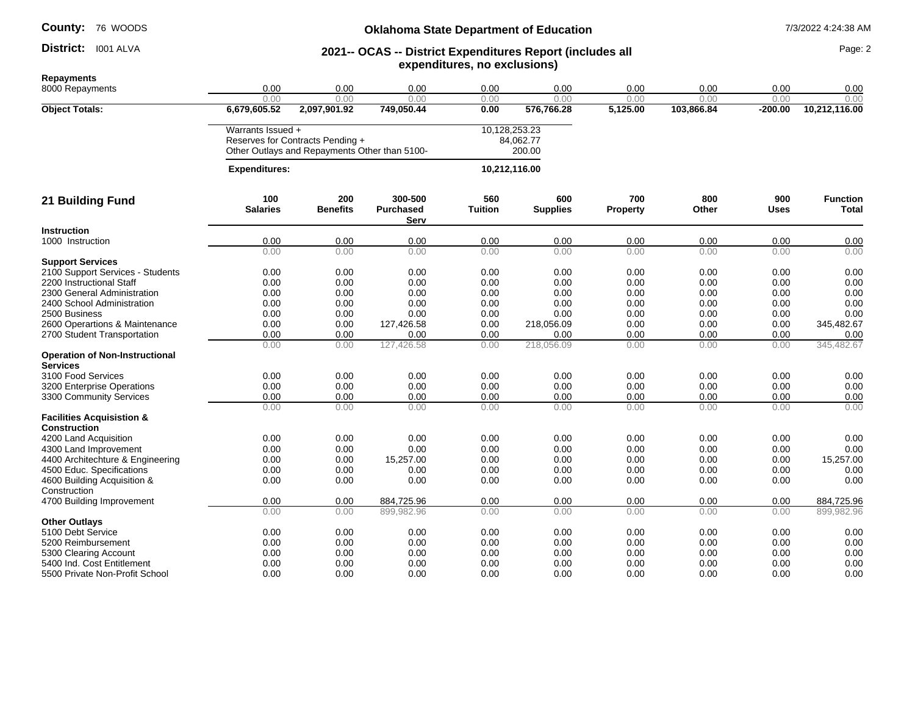District: I001 ALVA

#### **Oklahoma State Department of Education 1/3/2022 4:24:38 AM**

#### **District:** 1001 ALVA **CAS -- District Expenditures Report (includes all Page: 2 Page: 2 expenditures, no exclusions)**

**Repayments** 8000 Repayments 0.00 0.00 0.00 0.00 0.00 0.00 0.00 0.00 0.00 0.00 0.00 0.00 0.00 0.00 0.00 0.00 0.00 0.00 **Object Totals: 6,679,605.52 2,097,901.92 749,050.44 0.00 576,766.28 5,125.00 103,866.84 -200.00 10,212,116.00** Warrants Issued + 10,128,253.23 Reserves for Contracts Pending + Other Outlays and Repayments Other than 5100- 84,062.77 200.00  **Expenditures: 10,212,116.00 21 Building Fund 100 Salaries 200 Benefits 300-500 Purchased Serv 560 Tuition 600 Supplies 700 Property 800 Other 900 Uses Function Total Instruction**  1000 Instruction 0.00 0.00 0.00 0.00 0.00 0.00 0.00 0.00 0.00 0.00 0.00 0.00 0.00 0.00 0.00 0.00 0.00 **Support Services** 2100 Support Services - Students 0.00 0.00 0.00 0.00 0.00 0.00 0.00 0.00 0.00 2200 Instructional Staff 0.00 0.00 0.00 0.00 0.00 0.00 0.00 0.00 0.00 2300 General Administration 0.00 0.00 0.00 0.00 0.00 0.00 0.00 0.00 0.00 2400 School Administration 0.00 0.00 0.00 0.00 0.00 0.00 0.00 0.00 0.00 2500 Business 0.00 0.00 0.00 0.00 0.00 0.00 0.00 0.00 0.00 2600 Operartions & Maintenance 0.00 0.00 127,426.58 0.00 218,056.09 0.00 0.00 0.00 345,482.67 2700 Student Transportation  $\frac{0.00}{0.00}$   $\frac{0.00}{0.00}$   $\frac{0.00}{127,426.58}$   $\frac{0.00}{0.00}$   $\frac{0.00}{218,056.09}$   $\frac{0.00}{0.00}$   $\frac{0.00}{0.00}$   $\frac{0.00}{0.00}$   $\frac{0.00}{0.00}$   $\frac{0.00}{0.00}$   $\frac{0.00}{0.00}$   $\frac{0.$ 0.00 0.00 127,426.58 0.00 218,056.09 0.00 0.00 0.00 345,482.67 **Operation of Non-Instructional Services** 3100 Food Services 0.00 0.00 0.00 0.00 0.00 0.00 0.00 0.00 0.00 3200 Enterprise Operations 0.00 0.00 0.00 0.00 0.00 0.00 0.00 0.00 0.00 3300 Community Services 0.00 0.00 0.00 0.00 0.00 0.00 0.00 0.00 0.00 0.00 0.00 0.00 0.00 0.00 0.00 0.00 0.00 0.00 **Facilities Acquisistion & Construction**<br>4200 Land Acquisition 4200 Land Acquisition 0.00 0.00 0.00 0.00 0.00 0.00 0.00 0.00 0.00 4300 Land Improvement 0.00 0.00 0.00 0.00 0.00 0.00 0.00 0.00 0.00 4400 Architechture & Engineering  $0.00$  0.00  $15,257.00$  0.00 0.00 0.00 0.00 0.00 0.00 4500 Educ. Specifications 0.00 0.00 0.00 0.00 0.00 0.00 0.00 0.00 0.00 4600 Building Acquisition & Construction 0.00 0.00 0.00 0.00 0.00 0.00 0.00 0.00 0.00 4700 Building Improvement **10.00** 0.00 0.00 0.00 884,725.96 0.00 0.00 0.00 0.00 0.00 0.00 0.00 884,725.96 0.00 0.00 899,982.96 0.00 0.00 0.00 0.00 0.00 899,982.96 **Other Outlays**<br>5100 Debt Service 5100 Debt Service 0.00 0.00 0.00 0.00 0.00 0.00 0.00 0.00 5200 Reimbursement 0.00 0.00 0.00 0.00 0.00 0.00 0.00 0.00 0.00 5300 Clearing Account 0.00 0.00 0.00 0.00 0.00 0.00 0.00 0.00 0.00 5400 Ind. Cost Entitlement 0.00 0.00 0.00 0.00 0.00 0.00 0.00 0.00 0.00

5500 Private Non-Profit School 0.00 0.00 0.00 0.00 0.00 0.00 0.00 0.00 0.00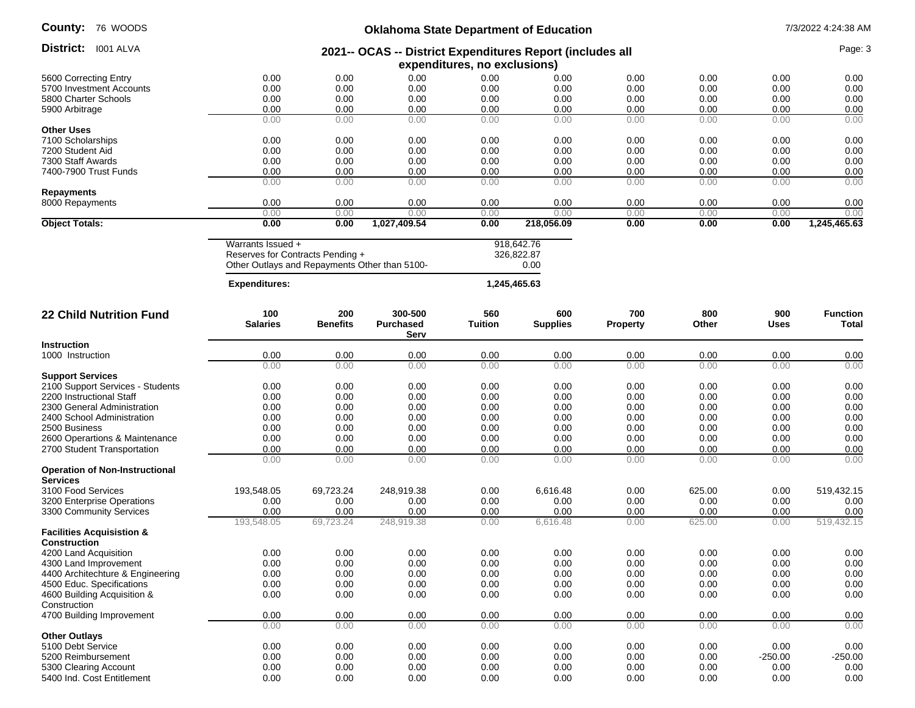| County: |  | 76 WOODS |
|---------|--|----------|
|---------|--|----------|

| <b>County:</b> 76 WOODS               | <b>Oklahoma State Department of Education</b>                                                          |                        |                                                           |                              |                                  |                        | 7/3/2022 4:24:38 AM |              |                          |
|---------------------------------------|--------------------------------------------------------------------------------------------------------|------------------------|-----------------------------------------------------------|------------------------------|----------------------------------|------------------------|---------------------|--------------|--------------------------|
| District: 1001 ALVA                   |                                                                                                        |                        | 2021-- OCAS -- District Expenditures Report (includes all | expenditures, no exclusions) |                                  |                        |                     |              | Page: 3                  |
| 5600 Correcting Entry                 | 0.00                                                                                                   | 0.00                   | 0.00                                                      | 0.00                         | 0.00                             | 0.00                   | 0.00                | 0.00         | 0.00                     |
| 5700 Investment Accounts              | 0.00                                                                                                   | 0.00                   | 0.00                                                      | 0.00                         | 0.00                             | 0.00                   | 0.00                | 0.00         | 0.00                     |
| 5800 Charter Schools                  | 0.00                                                                                                   | 0.00                   | 0.00                                                      | 0.00                         | 0.00                             | 0.00                   | 0.00                | 0.00         | 0.00                     |
| 5900 Arbitrage                        | 0.00                                                                                                   | 0.00                   | 0.00                                                      | 0.00                         | 0.00                             | 0.00                   | 0.00                | 0.00         | 0.00                     |
|                                       | 0.00                                                                                                   | 0.00                   | 0.00                                                      | 0.00                         | 0.00                             | 0.00                   | 0.00                | 0.00         | 0.00                     |
| <b>Other Uses</b>                     |                                                                                                        |                        |                                                           |                              |                                  |                        |                     |              |                          |
| 7100 Scholarships                     | 0.00                                                                                                   | 0.00                   | 0.00                                                      | 0.00                         | 0.00                             | 0.00                   | 0.00                | 0.00         | 0.00                     |
| 7200 Student Aid                      | 0.00                                                                                                   | 0.00                   | 0.00                                                      | 0.00                         | 0.00                             | 0.00                   | 0.00                | 0.00         | 0.00                     |
| 7300 Staff Awards                     | 0.00                                                                                                   | 0.00                   | 0.00                                                      | 0.00                         | 0.00                             | 0.00                   | 0.00                | 0.00         | 0.00                     |
| 7400-7900 Trust Funds                 | 0.00                                                                                                   | 0.00                   | 0.00                                                      | 0.00                         | 0.00                             | 0.00                   | 0.00                | 0.00         |                          |
|                                       | 0.00                                                                                                   | 0.00                   | 0.00                                                      | 0.00                         | 0.00                             | 0.00                   | 0.00                | 0.00         | 0.00<br>0.00             |
| <b>Repayments</b>                     |                                                                                                        |                        |                                                           |                              |                                  |                        |                     |              |                          |
| 8000 Repayments                       | 0.00                                                                                                   | 0.00                   | 0.00                                                      | 0.00                         | 0.00                             | 0.00                   | 0.00                | 0.00         | 0.00                     |
|                                       | 0.00                                                                                                   | 0.00                   | 0.00                                                      | 0.00                         | 0.00                             | 0.00                   | 0.00                | 0.00         | 0.00                     |
| <b>Object Totals:</b>                 | 0.00                                                                                                   | 0.00                   | 1,027,409.54                                              | 0.00                         | 218,056.09                       | 0.00                   | 0.00                | 0.00         | 1,245,465.63             |
|                                       | Warrants Issued +<br>Reserves for Contracts Pending +<br>Other Outlays and Repayments Other than 5100- |                        |                                                           |                              | 918,642.76<br>326,822.87<br>0.00 |                        |                     |              |                          |
|                                       | <b>Expenditures:</b>                                                                                   |                        |                                                           |                              | 1,245,465.63                     |                        |                     |              |                          |
| <b>22 Child Nutrition Fund</b>        | 100<br><b>Salaries</b>                                                                                 | 200<br><b>Benefits</b> | 300-500<br><b>Purchased</b><br>Serv                       | 560<br><b>Tuition</b>        | 600<br><b>Supplies</b>           | 700<br><b>Property</b> | 800<br>Other        | 900<br>Uses  | <b>Function</b><br>Total |
| <b>Instruction</b>                    |                                                                                                        |                        |                                                           |                              |                                  |                        |                     |              |                          |
| 1000 Instruction                      | 0.00                                                                                                   | 0.00                   | 0.00                                                      | 0.00                         | 0.00                             | 0.00                   | 0.00                | 0.00         | 0.00                     |
|                                       | 0.00                                                                                                   | 0.00                   | 0.00                                                      | 0.00                         | 0.00                             | 0.00                   | 0.00                | 0.00         | 0.00                     |
| <b>Support Services</b>               |                                                                                                        |                        |                                                           |                              |                                  |                        |                     |              |                          |
| 2100 Support Services - Students      | 0.00                                                                                                   | 0.00                   | 0.00                                                      | 0.00                         | 0.00                             | 0.00                   | 0.00                | 0.00         | 0.00                     |
| 2200 Instructional Staff              | 0.00                                                                                                   | 0.00                   | 0.00                                                      | 0.00                         | 0.00                             | 0.00                   | 0.00                | 0.00         | 0.00                     |
| 2300 General Administration           | 0.00                                                                                                   | 0.00                   | 0.00                                                      | 0.00                         | 0.00                             | 0.00                   | 0.00                | 0.00         | 0.00                     |
| 2400 School Administration            | 0.00                                                                                                   | 0.00                   | 0.00                                                      | 0.00                         | 0.00                             | 0.00                   | 0.00                | 0.00         | 0.00                     |
| 2500 Business                         | 0.00                                                                                                   | 0.00                   | 0.00                                                      | 0.00                         | 0.00                             | 0.00                   | 0.00                | 0.00         | 0.00                     |
| 2600 Operartions & Maintenance        | 0.00                                                                                                   | 0.00                   | 0.00                                                      | 0.00                         | 0.00                             | 0.00                   | 0.00                | 0.00         | 0.00                     |
| 2700 Student Transportation           | 0.00                                                                                                   | 0.00                   | 0.00                                                      | 0.00                         | 0.00                             | 0.00                   | 0.00                | 0.00         | 0.00                     |
|                                       | 0.00                                                                                                   | 0.00                   | 0.00                                                      | 0.00                         | 0.00                             | 0.00                   | 0.00                | 0.00         | 0.00                     |
| <b>Operation of Non-Instructional</b> |                                                                                                        |                        |                                                           |                              |                                  |                        |                     |              |                          |
| <b>Services</b><br>3100 Food Services |                                                                                                        |                        |                                                           |                              |                                  |                        |                     |              |                          |
| 3200 Enterprise Operations            | 193,548.05<br>0.00                                                                                     | 69,723.24<br>0.00      | 248,919.38<br>0.00                                        | 0.00<br>0.00                 | 6,616.48<br>0.00                 | 0.00<br>0.00           | 625.00<br>0.00      | 0.00<br>0.00 | 519,432.15<br>0.00       |
| 3300 Community Services               | 0.00                                                                                                   | 0.00                   | 0.00                                                      | 0.00                         | 0.00                             | 0.00                   | 0.00                | 0.00         |                          |
|                                       | 193,548.05                                                                                             | 69,723.24              | 248,919.38                                                | 0.00                         | 6,616.48                         | 0.00                   | 625.00              | 0.00         | 0.00<br>519,432.15       |
| <b>Facilities Acquisistion &amp;</b>  |                                                                                                        |                        |                                                           |                              |                                  |                        |                     |              |                          |
| Construction                          |                                                                                                        |                        |                                                           |                              |                                  |                        |                     |              |                          |
| 4200 Land Acquisition                 | 0.00                                                                                                   | 0.00                   | 0.00                                                      | 0.00                         | 0.00                             | 0.00                   | 0.00                | 0.00         | 0.00                     |
| 4300 Land Improvement                 | 0.00                                                                                                   | 0.00                   | 0.00                                                      | 0.00                         | 0.00                             | 0.00                   | 0.00                | 0.00         | 0.00                     |
| 4400 Architechture & Engineering      | 0.00                                                                                                   | 0.00                   | 0.00                                                      | 0.00                         | 0.00                             | 0.00                   | 0.00                | 0.00         | 0.00                     |
| 4500 Educ. Specifications             | 0.00                                                                                                   | 0.00                   | 0.00                                                      | 0.00                         | 0.00                             | 0.00                   | 0.00                | 0.00         | 0.00                     |
| 4600 Building Acquisition &           | 0.00                                                                                                   | 0.00                   | 0.00                                                      | 0.00                         | 0.00                             | 0.00                   | 0.00                | 0.00         | 0.00                     |
| Construction                          |                                                                                                        |                        |                                                           |                              |                                  |                        |                     |              |                          |
| 4700 Building Improvement             | 0.00                                                                                                   | 0.00                   | 0.00                                                      | 0.00                         | 0.00                             | 0.00                   | 0.00                | 0.00         | 0.00                     |
|                                       | 0.00                                                                                                   | 0.00                   | 0.00                                                      | 0.00                         | 0.00                             | 0.00                   | 0.00                | 0.00         | 0.00                     |
| <b>Other Outlays</b>                  |                                                                                                        |                        |                                                           |                              |                                  |                        |                     |              |                          |
| 5100 Debt Service                     | 0.00                                                                                                   | 0.00                   | 0.00                                                      | 0.00                         | 0.00                             | 0.00                   | 0.00                | 0.00         | 0.00                     |
| 5200 Reimbursement                    | 0.00                                                                                                   | 0.00                   | 0.00                                                      | 0.00                         | 0.00                             | 0.00                   | 0.00                | $-250.00$    | $-250.00$                |
| 5300 Clearing Account                 | 0.00                                                                                                   | 0.00                   | 0.00                                                      | 0.00                         | 0.00                             | 0.00                   | 0.00                | 0.00         | 0.00                     |
| 5400 Ind. Cost Entitlement            | 0.00                                                                                                   | 0.00                   | 0.00                                                      | 0.00                         | 0.00                             | 0.00                   | 0.00                | 0.00         | 0.00                     |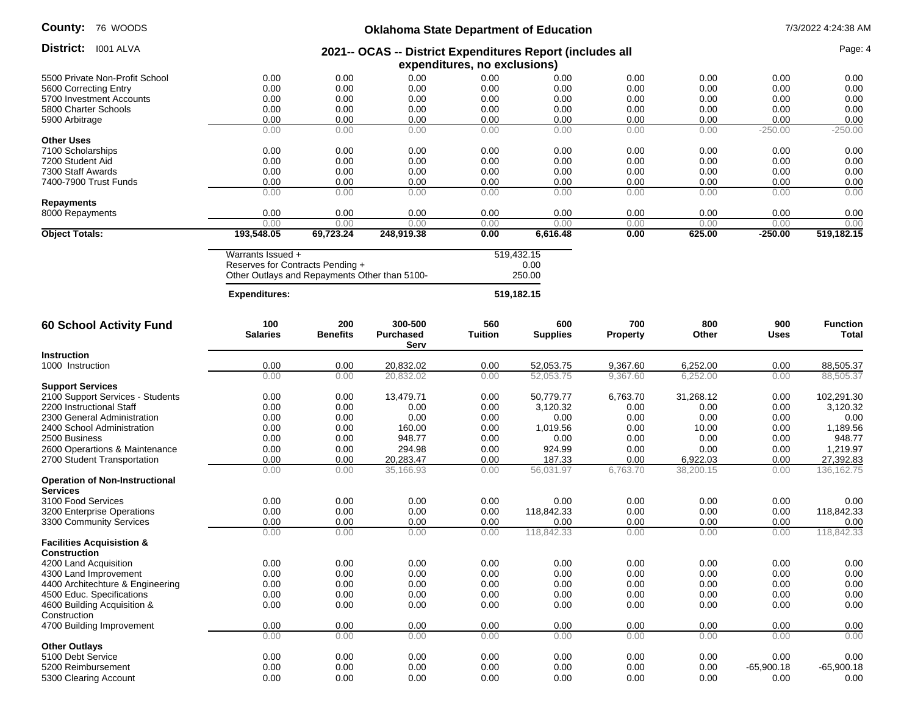# **Oklahoma State Department of Education** 7/3/2022 4:24:38 AM

| District: 1001 ALVA                                         |                                                                                           |                        |                             |                       |                        |                        |              |              | Page: 4                  |
|-------------------------------------------------------------|-------------------------------------------------------------------------------------------|------------------------|-----------------------------|-----------------------|------------------------|------------------------|--------------|--------------|--------------------------|
|                                                             | 2021-- OCAS -- District Expenditures Report (includes all<br>expenditures, no exclusions) |                        |                             |                       |                        |                        |              |              |                          |
| 5500 Private Non-Profit School                              | 0.00                                                                                      | 0.00                   | 0.00                        | 0.00                  | 0.00                   | 0.00                   | 0.00         | 0.00         | 0.00                     |
| 5600 Correcting Entry                                       | 0.00                                                                                      | 0.00                   | 0.00                        | 0.00                  | 0.00                   | 0.00                   | 0.00         | 0.00         | 0.00                     |
| 5700 Investment Accounts                                    | 0.00                                                                                      | 0.00                   | 0.00                        | 0.00                  | 0.00                   | 0.00                   | 0.00         | 0.00         | 0.00                     |
| 5800 Charter Schools                                        | 0.00                                                                                      | 0.00                   | 0.00                        | 0.00                  | 0.00                   | 0.00                   | 0.00         | 0.00         | 0.00                     |
| 5900 Arbitrage                                              | 0.00                                                                                      | 0.00                   | 0.00                        | 0.00                  | 0.00                   | 0.00                   | 0.00         | 0.00         | 0.00                     |
|                                                             | 0.00                                                                                      | 0.00                   | 0.00                        | 0.00                  | 0.00                   | 0.00                   | 0.00         | $-250.00$    | $-250.00$                |
| <b>Other Uses</b>                                           |                                                                                           |                        |                             |                       |                        |                        |              |              |                          |
| 7100 Scholarships                                           | 0.00                                                                                      | 0.00                   | 0.00                        | 0.00                  | 0.00                   | 0.00                   | 0.00         | 0.00         | 0.00                     |
| 7200 Student Aid                                            | 0.00                                                                                      | 0.00                   | 0.00                        | 0.00                  | 0.00                   | 0.00                   | 0.00         | 0.00         | 0.00                     |
| 7300 Staff Awards                                           | 0.00                                                                                      | 0.00                   | 0.00                        | 0.00                  | 0.00                   | 0.00                   | 0.00         | 0.00         | 0.00                     |
| 7400-7900 Trust Funds                                       | 0.00<br>0.00                                                                              | 0.00                   | 0.00                        | 0.00                  | 0.00                   | 0.00<br>0.00           | 0.00         | 0.00         | 0.00                     |
| <b>Repayments</b>                                           |                                                                                           | 0.00                   | 0.00                        | 0.00                  | 0.00                   |                        | 0.00         | 0.00         | 0.00                     |
| 8000 Repayments                                             | 0.00                                                                                      | 0.00                   | 0.00                        | 0.00                  | 0.00                   | 0.00                   | 0.00         | 0.00         | 0.00                     |
|                                                             | 0.00                                                                                      | 0.00                   | 0.00                        | 0.00                  | 0.00                   | 0.00                   | 0.00         | 0.00         | 0.00                     |
| <b>Object Totals:</b>                                       | 193,548.05                                                                                | 69,723.24              | 248,919.38                  | 0.00                  | 6,616.48               | 0.00                   | 625.00       | $-250.00$    | 519,182.15               |
|                                                             | Warrants Issued +                                                                         |                        |                             |                       | 519,432.15             |                        |              |              |                          |
|                                                             | Reserves for Contracts Pending +                                                          |                        |                             |                       | 0.00                   |                        |              |              |                          |
|                                                             | Other Outlays and Repayments Other than 5100-                                             |                        |                             |                       | 250.00                 |                        |              |              |                          |
|                                                             | <b>Expenditures:</b>                                                                      |                        |                             |                       | 519,182.15             |                        |              |              |                          |
|                                                             |                                                                                           |                        |                             |                       |                        |                        |              |              |                          |
| <b>60 School Activity Fund</b>                              | 100<br><b>Salaries</b>                                                                    | 200<br><b>Benefits</b> | 300-500<br><b>Purchased</b> | 560<br><b>Tuition</b> | 600<br><b>Supplies</b> | 700<br><b>Property</b> | 800<br>Other | 900<br>Uses  | <b>Function</b><br>Total |
|                                                             |                                                                                           |                        | Serv                        |                       |                        |                        |              |              |                          |
| <b>Instruction</b>                                          |                                                                                           |                        |                             |                       |                        |                        |              |              |                          |
| 1000 Instruction                                            | 0.00                                                                                      | 0.00                   | 20,832.02                   | 0.00                  | 52,053.75              | 9,367.60               | 6,252.00     | 0.00         | 88,505.37                |
|                                                             | 0.00                                                                                      | 0.00                   | 20,832.02                   | 0.00                  | 52,053.75              | 9,367.60               | 6,252.00     | 0.00         | 88,505.37                |
| <b>Support Services</b>                                     |                                                                                           |                        |                             |                       |                        |                        |              |              |                          |
| 2100 Support Services - Students                            | 0.00                                                                                      | 0.00                   | 13,479.71                   | 0.00                  | 50,779.77              | 6,763.70               | 31,268.12    | 0.00         | 102,291.30               |
| 2200 Instructional Staff                                    | 0.00                                                                                      | 0.00                   | 0.00<br>0.00                | 0.00                  | 3,120.32               | 0.00                   | 0.00<br>0.00 | 0.00         | 3,120.32                 |
| 2300 General Administration<br>2400 School Administration   | 0.00<br>0.00                                                                              | 0.00<br>0.00           | 160.00                      | 0.00<br>0.00          | 0.00<br>1,019.56       | 0.00<br>0.00           | 10.00        | 0.00<br>0.00 | 0.00<br>1,189.56         |
| 2500 Business                                               | 0.00                                                                                      | 0.00                   | 948.77                      | 0.00                  | 0.00                   | 0.00                   | 0.00         | 0.00         | 948.77                   |
| 2600 Operartions & Maintenance                              | 0.00                                                                                      | 0.00                   | 294.98                      | 0.00                  | 924.99                 | 0.00                   | 0.00         | 0.00         | 1,219.97                 |
| 2700 Student Transportation                                 | 0.00                                                                                      | 0.00                   | 20,283.47                   | 0.00                  | 187.33                 | 0.00                   | 6,922.03     | 0.00         | 27,392.83                |
|                                                             | 0.00                                                                                      | 0.00                   | 35,166.93                   | 0.00                  | 56,031.97              | 6,763.70               | 38,200.15    | 0.00         | 136, 162. 75             |
| <b>Operation of Non-Instructional</b><br><b>Services</b>    |                                                                                           |                        |                             |                       |                        |                        |              |              |                          |
| 3100 Food Services                                          | 0.00                                                                                      | 0.00                   | 0.00                        | 0.00                  | 0.00                   | 0.00                   | 0.00         | 0.00         | 0.00                     |
| 3200 Enterprise Operations                                  | 0.00                                                                                      | 0.00                   | 0.00                        | 0.00                  | 118,842.33             | 0.00                   | 0.00         | 0.00         | 118,842.33               |
| 3300 Community Services                                     | 0.00                                                                                      | 0.00                   | 0.00                        | 0.00                  | 0.00                   | 0.00                   | 0.00         | 0.00         | 0.00                     |
|                                                             | 0.00                                                                                      | 0.00                   | 0.00                        | 0.00                  | 118,842.33             | 0.00                   | 0.00         | 0.00         | 118,842.33               |
| <b>Facilities Acquisistion &amp;</b><br><b>Construction</b> |                                                                                           |                        |                             |                       |                        |                        |              |              |                          |
| 4200 Land Acquisition                                       | 0.00                                                                                      | 0.00                   | 0.00                        | 0.00                  | 0.00                   | 0.00                   | 0.00         | 0.00         |                          |
| 4300 Land Improvement                                       | 0.00                                                                                      | 0.00                   | 0.00                        | 0.00                  | 0.00                   | 0.00                   | 0.00         | 0.00         | 0.00<br>0.00             |
| 4400 Architechture & Engineering                            | 0.00                                                                                      | 0.00                   | 0.00                        | 0.00                  | 0.00                   | 0.00                   | 0.00         | 0.00         | 0.00                     |
| 4500 Educ. Specifications                                   | 0.00                                                                                      | 0.00                   | 0.00                        | 0.00                  | 0.00                   | 0.00                   | 0.00         | 0.00         | 0.00                     |
| 4600 Building Acquisition &                                 | 0.00                                                                                      | 0.00                   | 0.00                        | 0.00                  | 0.00                   | 0.00                   | 0.00         | 0.00         | 0.00                     |
| Construction                                                |                                                                                           |                        |                             |                       |                        |                        |              |              |                          |
| 4700 Building Improvement                                   | 0.00                                                                                      | 0.00                   | 0.00                        | 0.00                  | 0.00                   | 0.00                   | 0.00         | 0.00         | 0.00                     |
|                                                             | 0.00                                                                                      | 0.00                   | 0.00                        | 0.00                  | 0.00                   | 0.00                   | 0.00         | 0.00         | 0.00                     |
| <b>Other Outlays</b>                                        |                                                                                           |                        |                             |                       |                        |                        |              |              |                          |
| 5100 Debt Service                                           | 0.00                                                                                      | 0.00                   | 0.00                        | 0.00                  | 0.00                   | 0.00                   | 0.00         | 0.00         | 0.00                     |
| 5200 Reimbursement                                          | 0.00                                                                                      | 0.00                   | 0.00                        | 0.00                  | 0.00                   | 0.00                   | 0.00         | $-65,900.18$ | $-65,900.18$             |
| 5300 Clearing Account                                       | 0.00                                                                                      | 0.00                   | 0.00                        | 0.00                  | 0.00                   | 0.00                   | 0.00         | 0.00         | 0.00                     |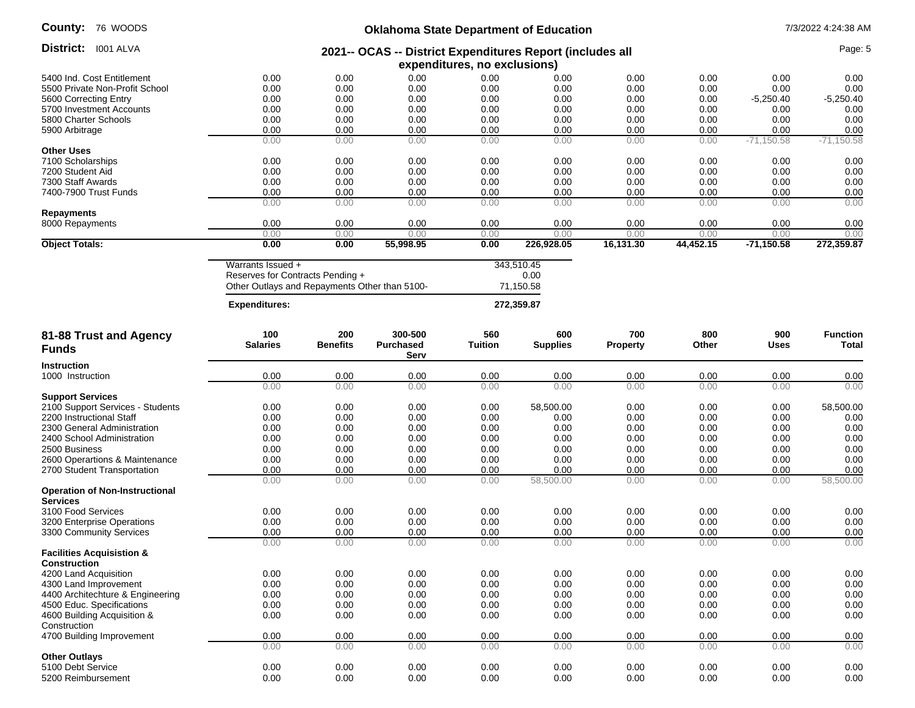# **Oklahoma State Department of Education** 7/3/2022 4:24:38 AM

| District: I001 ALVA<br>2021-- OCAS -- District Expenditures Report (includes all<br>expenditures, no exclusions)<br>0.00<br>0.00<br>0.00<br>5400 Ind. Cost Entitlement<br>0.00<br>0.00<br>0.00<br>0.00<br>0.00<br>0.00<br>0.00<br>0.00<br>0.00<br>0.00<br>0.00<br>0.00<br>0.00<br>5500 Private Non-Profit School<br>0.00<br>0.00<br>0.00<br>0.00<br>0.00<br>0.00<br>0.00<br>$-5,250.40$<br>5600 Correcting Entry<br>0.00<br>0.00<br>5700 Investment Accounts<br>0.00<br>0.00<br>0.00<br>0.00<br>0.00<br>0.00<br>0.00<br>0.00<br>5800 Charter Schools<br>0.00<br>0.00<br>0.00<br>0.00<br>0.00<br>0.00<br>0.00<br>0.00<br>0.00<br>0.00<br>0.00<br>0.00<br>0.00<br>0.00<br>5900 Arbitrage<br>0.00<br>0.00<br>0.00<br>0.00<br>0.00<br>0.00<br>0.00<br>$-71,150.58$<br><b>Other Uses</b><br>0.00<br>0.00<br>0.00<br>0.00<br>7100 Scholarships<br>0.00<br>0.00<br>0.00<br>0.00<br>0.00<br>0.00<br>0.00<br>0.00<br>0.00<br>0.00<br>7200 Student Aid<br>0.00<br>0.00<br>0.00<br>0.00<br>7300 Staff Awards<br>0.00<br>0.00<br>0.00<br>0.00<br>0.00<br>0.00<br>7400-7900 Trust Funds<br>0.00<br>0.00<br>0.00<br>0.00<br>0.00<br>0.00<br>0.00<br>0.00<br>0.00<br>0.00<br>0.00<br>0.00<br>0.00<br>0.00<br>0.00<br>0.00<br><b>Repayments</b><br>0.00<br>0.00<br>0.00<br>0.00<br>0.00<br>0.00<br>0.00<br>8000 Repayments<br>0.00<br>0.00<br>0.00<br>0.00<br>0.00<br>0.00<br>0.00<br>0.00<br>0.00<br><b>Object Totals:</b><br>0.00<br>0.00<br>55,998.95<br>0.00<br>226,928.05<br>16,131.30<br>44,452.15<br>$-71,150.58$<br>Warrants Issued +<br>343,510.45<br>Reserves for Contracts Pending +<br>0.00<br>71,150.58<br>Other Outlays and Repayments Other than 5100-<br>272,359.87<br><b>Expenditures:</b><br>100<br>200<br>300-500<br>560<br>600<br>700<br>800<br>900<br>81-88 Trust and Agency<br><b>Benefits</b><br><b>Salaries</b><br><b>Purchased</b><br><b>Tuition</b><br><b>Supplies</b><br><b>Property</b><br>Other<br>Uses<br><b>Funds</b><br>Serv<br>Instruction<br>0.00<br>0.00<br>0.00<br>0.00<br>0.00<br>0.00<br>0.00<br>0.00<br>1000 Instruction<br>0.00<br>0.00<br>0.00<br>0.00<br>0.00<br>0.00<br>0.00<br>0.00<br><b>Support Services</b><br>0.00<br>0.00<br>0.00<br>58,500.00<br>0.00<br>0.00<br>2100 Support Services - Students<br>0.00<br>0.00<br>0.00<br>0.00<br>0.00<br>0.00<br>0.00<br>0.00<br>0.00<br>0.00<br>2200 Instructional Staff<br>0.00<br>0.00<br>0.00<br>0.00<br>0.00<br>0.00<br>0.00<br>0.00<br>2300 General Administration<br>0.00<br>0.00<br>0.00<br>0.00<br>0.00<br>0.00<br>0.00<br>0.00<br>2400 School Administration<br>0.00<br>0.00<br>2500 Business<br>0.00<br>0.00<br>0.00<br>0.00<br>0.00<br>0.00<br>0.00<br>0.00<br>0.00<br>2600 Operartions & Maintenance<br>0.00<br>0.00<br>0.00<br>0.00<br>0.00<br>0.00<br>2700 Student Transportation<br>0.00<br>0.00<br>0.00<br>0.00<br>0.00<br>0.00<br>0.00<br>0.00<br>0.00<br>58,500.00<br>0.00<br>0.00<br>0.00<br>0.00<br>0.00<br><b>Operation of Non-Instructional</b><br><b>Services</b><br>0.00<br>0.00<br>0.00<br>0.00<br>0.00<br>0.00<br>3100 Food Services<br>0.00<br>0.00<br>0.00<br>0.00<br>0.00<br>0.00<br>0.00<br>0.00<br>0.00<br>0.00<br>3200 Enterprise Operations<br>0.00<br>0.00<br>0.00<br>0.00<br>0.00<br>0.00<br>0.00<br>0.00<br>3300 Community Services<br>0.00<br>0.00<br>0.00<br>0.00<br>0.00<br>0.00<br>0.00<br>0.00<br><b>Facilities Acquisistion &amp;</b><br><b>Construction</b> |                            |      |      |      |      |      |      |      | Page: 5           |  |  |  |  |  |
|-------------------------------------------------------------------------------------------------------------------------------------------------------------------------------------------------------------------------------------------------------------------------------------------------------------------------------------------------------------------------------------------------------------------------------------------------------------------------------------------------------------------------------------------------------------------------------------------------------------------------------------------------------------------------------------------------------------------------------------------------------------------------------------------------------------------------------------------------------------------------------------------------------------------------------------------------------------------------------------------------------------------------------------------------------------------------------------------------------------------------------------------------------------------------------------------------------------------------------------------------------------------------------------------------------------------------------------------------------------------------------------------------------------------------------------------------------------------------------------------------------------------------------------------------------------------------------------------------------------------------------------------------------------------------------------------------------------------------------------------------------------------------------------------------------------------------------------------------------------------------------------------------------------------------------------------------------------------------------------------------------------------------------------------------------------------------------------------------------------------------------------------------------------------------------------------------------------------------------------------------------------------------------------------------------------------------------------------------------------------------------------------------------------------------------------------------------------------------------------------------------------------------------------------------------------------------------------------------------------------------------------------------------------------------------------------------------------------------------------------------------------------------------------------------------------------------------------------------------------------------------------------------------------------------------------------------------------------------------------------------------------------------------------------------------------------------------------------------------------------------------------------------------------------------------------------------------------------------------------------------------------------------------------------------------------------------------------------------------------------------------|----------------------------|------|------|------|------|------|------|------|-------------------|--|--|--|--|--|
|                                                                                                                                                                                                                                                                                                                                                                                                                                                                                                                                                                                                                                                                                                                                                                                                                                                                                                                                                                                                                                                                                                                                                                                                                                                                                                                                                                                                                                                                                                                                                                                                                                                                                                                                                                                                                                                                                                                                                                                                                                                                                                                                                                                                                                                                                                                                                                                                                                                                                                                                                                                                                                                                                                                                                                                                                                                                                                                                                                                                                                                                                                                                                                                                                                                                                                                                                                               |                            |      |      |      |      |      |      |      |                   |  |  |  |  |  |
|                                                                                                                                                                                                                                                                                                                                                                                                                                                                                                                                                                                                                                                                                                                                                                                                                                                                                                                                                                                                                                                                                                                                                                                                                                                                                                                                                                                                                                                                                                                                                                                                                                                                                                                                                                                                                                                                                                                                                                                                                                                                                                                                                                                                                                                                                                                                                                                                                                                                                                                                                                                                                                                                                                                                                                                                                                                                                                                                                                                                                                                                                                                                                                                                                                                                                                                                                                               |                            |      |      |      |      |      |      |      |                   |  |  |  |  |  |
|                                                                                                                                                                                                                                                                                                                                                                                                                                                                                                                                                                                                                                                                                                                                                                                                                                                                                                                                                                                                                                                                                                                                                                                                                                                                                                                                                                                                                                                                                                                                                                                                                                                                                                                                                                                                                                                                                                                                                                                                                                                                                                                                                                                                                                                                                                                                                                                                                                                                                                                                                                                                                                                                                                                                                                                                                                                                                                                                                                                                                                                                                                                                                                                                                                                                                                                                                                               |                            |      |      |      |      |      |      |      | 0.00              |  |  |  |  |  |
|                                                                                                                                                                                                                                                                                                                                                                                                                                                                                                                                                                                                                                                                                                                                                                                                                                                                                                                                                                                                                                                                                                                                                                                                                                                                                                                                                                                                                                                                                                                                                                                                                                                                                                                                                                                                                                                                                                                                                                                                                                                                                                                                                                                                                                                                                                                                                                                                                                                                                                                                                                                                                                                                                                                                                                                                                                                                                                                                                                                                                                                                                                                                                                                                                                                                                                                                                                               |                            |      |      |      |      |      |      |      | 0.00              |  |  |  |  |  |
|                                                                                                                                                                                                                                                                                                                                                                                                                                                                                                                                                                                                                                                                                                                                                                                                                                                                                                                                                                                                                                                                                                                                                                                                                                                                                                                                                                                                                                                                                                                                                                                                                                                                                                                                                                                                                                                                                                                                                                                                                                                                                                                                                                                                                                                                                                                                                                                                                                                                                                                                                                                                                                                                                                                                                                                                                                                                                                                                                                                                                                                                                                                                                                                                                                                                                                                                                                               |                            |      |      |      |      |      |      |      | $-5,250.40$       |  |  |  |  |  |
|                                                                                                                                                                                                                                                                                                                                                                                                                                                                                                                                                                                                                                                                                                                                                                                                                                                                                                                                                                                                                                                                                                                                                                                                                                                                                                                                                                                                                                                                                                                                                                                                                                                                                                                                                                                                                                                                                                                                                                                                                                                                                                                                                                                                                                                                                                                                                                                                                                                                                                                                                                                                                                                                                                                                                                                                                                                                                                                                                                                                                                                                                                                                                                                                                                                                                                                                                                               |                            |      |      |      |      |      |      |      | 0.00              |  |  |  |  |  |
|                                                                                                                                                                                                                                                                                                                                                                                                                                                                                                                                                                                                                                                                                                                                                                                                                                                                                                                                                                                                                                                                                                                                                                                                                                                                                                                                                                                                                                                                                                                                                                                                                                                                                                                                                                                                                                                                                                                                                                                                                                                                                                                                                                                                                                                                                                                                                                                                                                                                                                                                                                                                                                                                                                                                                                                                                                                                                                                                                                                                                                                                                                                                                                                                                                                                                                                                                                               |                            |      |      |      |      |      |      |      | 0.00              |  |  |  |  |  |
|                                                                                                                                                                                                                                                                                                                                                                                                                                                                                                                                                                                                                                                                                                                                                                                                                                                                                                                                                                                                                                                                                                                                                                                                                                                                                                                                                                                                                                                                                                                                                                                                                                                                                                                                                                                                                                                                                                                                                                                                                                                                                                                                                                                                                                                                                                                                                                                                                                                                                                                                                                                                                                                                                                                                                                                                                                                                                                                                                                                                                                                                                                                                                                                                                                                                                                                                                                               |                            |      |      |      |      |      |      |      | 0.00              |  |  |  |  |  |
|                                                                                                                                                                                                                                                                                                                                                                                                                                                                                                                                                                                                                                                                                                                                                                                                                                                                                                                                                                                                                                                                                                                                                                                                                                                                                                                                                                                                                                                                                                                                                                                                                                                                                                                                                                                                                                                                                                                                                                                                                                                                                                                                                                                                                                                                                                                                                                                                                                                                                                                                                                                                                                                                                                                                                                                                                                                                                                                                                                                                                                                                                                                                                                                                                                                                                                                                                                               |                            |      |      |      |      |      |      |      | $-71,150.58$      |  |  |  |  |  |
|                                                                                                                                                                                                                                                                                                                                                                                                                                                                                                                                                                                                                                                                                                                                                                                                                                                                                                                                                                                                                                                                                                                                                                                                                                                                                                                                                                                                                                                                                                                                                                                                                                                                                                                                                                                                                                                                                                                                                                                                                                                                                                                                                                                                                                                                                                                                                                                                                                                                                                                                                                                                                                                                                                                                                                                                                                                                                                                                                                                                                                                                                                                                                                                                                                                                                                                                                                               |                            |      |      |      |      |      |      |      |                   |  |  |  |  |  |
|                                                                                                                                                                                                                                                                                                                                                                                                                                                                                                                                                                                                                                                                                                                                                                                                                                                                                                                                                                                                                                                                                                                                                                                                                                                                                                                                                                                                                                                                                                                                                                                                                                                                                                                                                                                                                                                                                                                                                                                                                                                                                                                                                                                                                                                                                                                                                                                                                                                                                                                                                                                                                                                                                                                                                                                                                                                                                                                                                                                                                                                                                                                                                                                                                                                                                                                                                                               |                            |      |      |      |      |      |      |      | 0.00              |  |  |  |  |  |
|                                                                                                                                                                                                                                                                                                                                                                                                                                                                                                                                                                                                                                                                                                                                                                                                                                                                                                                                                                                                                                                                                                                                                                                                                                                                                                                                                                                                                                                                                                                                                                                                                                                                                                                                                                                                                                                                                                                                                                                                                                                                                                                                                                                                                                                                                                                                                                                                                                                                                                                                                                                                                                                                                                                                                                                                                                                                                                                                                                                                                                                                                                                                                                                                                                                                                                                                                                               |                            |      |      |      |      |      |      |      | 0.00              |  |  |  |  |  |
|                                                                                                                                                                                                                                                                                                                                                                                                                                                                                                                                                                                                                                                                                                                                                                                                                                                                                                                                                                                                                                                                                                                                                                                                                                                                                                                                                                                                                                                                                                                                                                                                                                                                                                                                                                                                                                                                                                                                                                                                                                                                                                                                                                                                                                                                                                                                                                                                                                                                                                                                                                                                                                                                                                                                                                                                                                                                                                                                                                                                                                                                                                                                                                                                                                                                                                                                                                               |                            |      |      |      |      |      |      |      | 0.00              |  |  |  |  |  |
|                                                                                                                                                                                                                                                                                                                                                                                                                                                                                                                                                                                                                                                                                                                                                                                                                                                                                                                                                                                                                                                                                                                                                                                                                                                                                                                                                                                                                                                                                                                                                                                                                                                                                                                                                                                                                                                                                                                                                                                                                                                                                                                                                                                                                                                                                                                                                                                                                                                                                                                                                                                                                                                                                                                                                                                                                                                                                                                                                                                                                                                                                                                                                                                                                                                                                                                                                                               |                            |      |      |      |      |      |      |      | 0.00              |  |  |  |  |  |
|                                                                                                                                                                                                                                                                                                                                                                                                                                                                                                                                                                                                                                                                                                                                                                                                                                                                                                                                                                                                                                                                                                                                                                                                                                                                                                                                                                                                                                                                                                                                                                                                                                                                                                                                                                                                                                                                                                                                                                                                                                                                                                                                                                                                                                                                                                                                                                                                                                                                                                                                                                                                                                                                                                                                                                                                                                                                                                                                                                                                                                                                                                                                                                                                                                                                                                                                                                               |                            |      |      |      |      |      |      |      | 0.00              |  |  |  |  |  |
|                                                                                                                                                                                                                                                                                                                                                                                                                                                                                                                                                                                                                                                                                                                                                                                                                                                                                                                                                                                                                                                                                                                                                                                                                                                                                                                                                                                                                                                                                                                                                                                                                                                                                                                                                                                                                                                                                                                                                                                                                                                                                                                                                                                                                                                                                                                                                                                                                                                                                                                                                                                                                                                                                                                                                                                                                                                                                                                                                                                                                                                                                                                                                                                                                                                                                                                                                                               |                            |      |      |      |      |      |      |      | 0.00              |  |  |  |  |  |
|                                                                                                                                                                                                                                                                                                                                                                                                                                                                                                                                                                                                                                                                                                                                                                                                                                                                                                                                                                                                                                                                                                                                                                                                                                                                                                                                                                                                                                                                                                                                                                                                                                                                                                                                                                                                                                                                                                                                                                                                                                                                                                                                                                                                                                                                                                                                                                                                                                                                                                                                                                                                                                                                                                                                                                                                                                                                                                                                                                                                                                                                                                                                                                                                                                                                                                                                                                               |                            |      |      |      |      |      |      |      | 0.00              |  |  |  |  |  |
|                                                                                                                                                                                                                                                                                                                                                                                                                                                                                                                                                                                                                                                                                                                                                                                                                                                                                                                                                                                                                                                                                                                                                                                                                                                                                                                                                                                                                                                                                                                                                                                                                                                                                                                                                                                                                                                                                                                                                                                                                                                                                                                                                                                                                                                                                                                                                                                                                                                                                                                                                                                                                                                                                                                                                                                                                                                                                                                                                                                                                                                                                                                                                                                                                                                                                                                                                                               |                            |      |      |      |      |      |      |      | 272,359.87        |  |  |  |  |  |
|                                                                                                                                                                                                                                                                                                                                                                                                                                                                                                                                                                                                                                                                                                                                                                                                                                                                                                                                                                                                                                                                                                                                                                                                                                                                                                                                                                                                                                                                                                                                                                                                                                                                                                                                                                                                                                                                                                                                                                                                                                                                                                                                                                                                                                                                                                                                                                                                                                                                                                                                                                                                                                                                                                                                                                                                                                                                                                                                                                                                                                                                                                                                                                                                                                                                                                                                                                               |                            |      |      |      |      |      |      |      |                   |  |  |  |  |  |
|                                                                                                                                                                                                                                                                                                                                                                                                                                                                                                                                                                                                                                                                                                                                                                                                                                                                                                                                                                                                                                                                                                                                                                                                                                                                                                                                                                                                                                                                                                                                                                                                                                                                                                                                                                                                                                                                                                                                                                                                                                                                                                                                                                                                                                                                                                                                                                                                                                                                                                                                                                                                                                                                                                                                                                                                                                                                                                                                                                                                                                                                                                                                                                                                                                                                                                                                                                               |                            |      |      |      |      |      |      |      |                   |  |  |  |  |  |
|                                                                                                                                                                                                                                                                                                                                                                                                                                                                                                                                                                                                                                                                                                                                                                                                                                                                                                                                                                                                                                                                                                                                                                                                                                                                                                                                                                                                                                                                                                                                                                                                                                                                                                                                                                                                                                                                                                                                                                                                                                                                                                                                                                                                                                                                                                                                                                                                                                                                                                                                                                                                                                                                                                                                                                                                                                                                                                                                                                                                                                                                                                                                                                                                                                                                                                                                                                               |                            |      |      |      |      |      |      |      |                   |  |  |  |  |  |
|                                                                                                                                                                                                                                                                                                                                                                                                                                                                                                                                                                                                                                                                                                                                                                                                                                                                                                                                                                                                                                                                                                                                                                                                                                                                                                                                                                                                                                                                                                                                                                                                                                                                                                                                                                                                                                                                                                                                                                                                                                                                                                                                                                                                                                                                                                                                                                                                                                                                                                                                                                                                                                                                                                                                                                                                                                                                                                                                                                                                                                                                                                                                                                                                                                                                                                                                                                               |                            |      |      |      |      |      |      |      |                   |  |  |  |  |  |
|                                                                                                                                                                                                                                                                                                                                                                                                                                                                                                                                                                                                                                                                                                                                                                                                                                                                                                                                                                                                                                                                                                                                                                                                                                                                                                                                                                                                                                                                                                                                                                                                                                                                                                                                                                                                                                                                                                                                                                                                                                                                                                                                                                                                                                                                                                                                                                                                                                                                                                                                                                                                                                                                                                                                                                                                                                                                                                                                                                                                                                                                                                                                                                                                                                                                                                                                                                               |                            |      |      |      |      |      |      |      |                   |  |  |  |  |  |
|                                                                                                                                                                                                                                                                                                                                                                                                                                                                                                                                                                                                                                                                                                                                                                                                                                                                                                                                                                                                                                                                                                                                                                                                                                                                                                                                                                                                                                                                                                                                                                                                                                                                                                                                                                                                                                                                                                                                                                                                                                                                                                                                                                                                                                                                                                                                                                                                                                                                                                                                                                                                                                                                                                                                                                                                                                                                                                                                                                                                                                                                                                                                                                                                                                                                                                                                                                               |                            |      |      |      |      |      |      |      | <b>Function</b>   |  |  |  |  |  |
|                                                                                                                                                                                                                                                                                                                                                                                                                                                                                                                                                                                                                                                                                                                                                                                                                                                                                                                                                                                                                                                                                                                                                                                                                                                                                                                                                                                                                                                                                                                                                                                                                                                                                                                                                                                                                                                                                                                                                                                                                                                                                                                                                                                                                                                                                                                                                                                                                                                                                                                                                                                                                                                                                                                                                                                                                                                                                                                                                                                                                                                                                                                                                                                                                                                                                                                                                                               |                            |      |      |      |      |      |      |      | Total             |  |  |  |  |  |
|                                                                                                                                                                                                                                                                                                                                                                                                                                                                                                                                                                                                                                                                                                                                                                                                                                                                                                                                                                                                                                                                                                                                                                                                                                                                                                                                                                                                                                                                                                                                                                                                                                                                                                                                                                                                                                                                                                                                                                                                                                                                                                                                                                                                                                                                                                                                                                                                                                                                                                                                                                                                                                                                                                                                                                                                                                                                                                                                                                                                                                                                                                                                                                                                                                                                                                                                                                               |                            |      |      |      |      |      |      |      |                   |  |  |  |  |  |
|                                                                                                                                                                                                                                                                                                                                                                                                                                                                                                                                                                                                                                                                                                                                                                                                                                                                                                                                                                                                                                                                                                                                                                                                                                                                                                                                                                                                                                                                                                                                                                                                                                                                                                                                                                                                                                                                                                                                                                                                                                                                                                                                                                                                                                                                                                                                                                                                                                                                                                                                                                                                                                                                                                                                                                                                                                                                                                                                                                                                                                                                                                                                                                                                                                                                                                                                                                               |                            |      |      |      |      |      |      |      | 0.00              |  |  |  |  |  |
|                                                                                                                                                                                                                                                                                                                                                                                                                                                                                                                                                                                                                                                                                                                                                                                                                                                                                                                                                                                                                                                                                                                                                                                                                                                                                                                                                                                                                                                                                                                                                                                                                                                                                                                                                                                                                                                                                                                                                                                                                                                                                                                                                                                                                                                                                                                                                                                                                                                                                                                                                                                                                                                                                                                                                                                                                                                                                                                                                                                                                                                                                                                                                                                                                                                                                                                                                                               |                            |      |      |      |      |      |      |      | 0.00              |  |  |  |  |  |
|                                                                                                                                                                                                                                                                                                                                                                                                                                                                                                                                                                                                                                                                                                                                                                                                                                                                                                                                                                                                                                                                                                                                                                                                                                                                                                                                                                                                                                                                                                                                                                                                                                                                                                                                                                                                                                                                                                                                                                                                                                                                                                                                                                                                                                                                                                                                                                                                                                                                                                                                                                                                                                                                                                                                                                                                                                                                                                                                                                                                                                                                                                                                                                                                                                                                                                                                                                               |                            |      |      |      |      |      |      |      |                   |  |  |  |  |  |
|                                                                                                                                                                                                                                                                                                                                                                                                                                                                                                                                                                                                                                                                                                                                                                                                                                                                                                                                                                                                                                                                                                                                                                                                                                                                                                                                                                                                                                                                                                                                                                                                                                                                                                                                                                                                                                                                                                                                                                                                                                                                                                                                                                                                                                                                                                                                                                                                                                                                                                                                                                                                                                                                                                                                                                                                                                                                                                                                                                                                                                                                                                                                                                                                                                                                                                                                                                               |                            |      |      |      |      |      |      |      | 58,500.00         |  |  |  |  |  |
|                                                                                                                                                                                                                                                                                                                                                                                                                                                                                                                                                                                                                                                                                                                                                                                                                                                                                                                                                                                                                                                                                                                                                                                                                                                                                                                                                                                                                                                                                                                                                                                                                                                                                                                                                                                                                                                                                                                                                                                                                                                                                                                                                                                                                                                                                                                                                                                                                                                                                                                                                                                                                                                                                                                                                                                                                                                                                                                                                                                                                                                                                                                                                                                                                                                                                                                                                                               |                            |      |      |      |      |      |      |      | 0.00              |  |  |  |  |  |
|                                                                                                                                                                                                                                                                                                                                                                                                                                                                                                                                                                                                                                                                                                                                                                                                                                                                                                                                                                                                                                                                                                                                                                                                                                                                                                                                                                                                                                                                                                                                                                                                                                                                                                                                                                                                                                                                                                                                                                                                                                                                                                                                                                                                                                                                                                                                                                                                                                                                                                                                                                                                                                                                                                                                                                                                                                                                                                                                                                                                                                                                                                                                                                                                                                                                                                                                                                               |                            |      |      |      |      |      |      |      | 0.00              |  |  |  |  |  |
|                                                                                                                                                                                                                                                                                                                                                                                                                                                                                                                                                                                                                                                                                                                                                                                                                                                                                                                                                                                                                                                                                                                                                                                                                                                                                                                                                                                                                                                                                                                                                                                                                                                                                                                                                                                                                                                                                                                                                                                                                                                                                                                                                                                                                                                                                                                                                                                                                                                                                                                                                                                                                                                                                                                                                                                                                                                                                                                                                                                                                                                                                                                                                                                                                                                                                                                                                                               |                            |      |      |      |      |      |      |      | 0.00              |  |  |  |  |  |
|                                                                                                                                                                                                                                                                                                                                                                                                                                                                                                                                                                                                                                                                                                                                                                                                                                                                                                                                                                                                                                                                                                                                                                                                                                                                                                                                                                                                                                                                                                                                                                                                                                                                                                                                                                                                                                                                                                                                                                                                                                                                                                                                                                                                                                                                                                                                                                                                                                                                                                                                                                                                                                                                                                                                                                                                                                                                                                                                                                                                                                                                                                                                                                                                                                                                                                                                                                               |                            |      |      |      |      |      |      |      | 0.00              |  |  |  |  |  |
|                                                                                                                                                                                                                                                                                                                                                                                                                                                                                                                                                                                                                                                                                                                                                                                                                                                                                                                                                                                                                                                                                                                                                                                                                                                                                                                                                                                                                                                                                                                                                                                                                                                                                                                                                                                                                                                                                                                                                                                                                                                                                                                                                                                                                                                                                                                                                                                                                                                                                                                                                                                                                                                                                                                                                                                                                                                                                                                                                                                                                                                                                                                                                                                                                                                                                                                                                                               |                            |      |      |      |      |      |      |      | 0.00              |  |  |  |  |  |
|                                                                                                                                                                                                                                                                                                                                                                                                                                                                                                                                                                                                                                                                                                                                                                                                                                                                                                                                                                                                                                                                                                                                                                                                                                                                                                                                                                                                                                                                                                                                                                                                                                                                                                                                                                                                                                                                                                                                                                                                                                                                                                                                                                                                                                                                                                                                                                                                                                                                                                                                                                                                                                                                                                                                                                                                                                                                                                                                                                                                                                                                                                                                                                                                                                                                                                                                                                               |                            |      |      |      |      |      |      |      | 0.00<br>58,500.00 |  |  |  |  |  |
|                                                                                                                                                                                                                                                                                                                                                                                                                                                                                                                                                                                                                                                                                                                                                                                                                                                                                                                                                                                                                                                                                                                                                                                                                                                                                                                                                                                                                                                                                                                                                                                                                                                                                                                                                                                                                                                                                                                                                                                                                                                                                                                                                                                                                                                                                                                                                                                                                                                                                                                                                                                                                                                                                                                                                                                                                                                                                                                                                                                                                                                                                                                                                                                                                                                                                                                                                                               |                            |      |      |      |      |      |      |      |                   |  |  |  |  |  |
|                                                                                                                                                                                                                                                                                                                                                                                                                                                                                                                                                                                                                                                                                                                                                                                                                                                                                                                                                                                                                                                                                                                                                                                                                                                                                                                                                                                                                                                                                                                                                                                                                                                                                                                                                                                                                                                                                                                                                                                                                                                                                                                                                                                                                                                                                                                                                                                                                                                                                                                                                                                                                                                                                                                                                                                                                                                                                                                                                                                                                                                                                                                                                                                                                                                                                                                                                                               |                            |      |      |      |      |      |      |      | 0.00              |  |  |  |  |  |
|                                                                                                                                                                                                                                                                                                                                                                                                                                                                                                                                                                                                                                                                                                                                                                                                                                                                                                                                                                                                                                                                                                                                                                                                                                                                                                                                                                                                                                                                                                                                                                                                                                                                                                                                                                                                                                                                                                                                                                                                                                                                                                                                                                                                                                                                                                                                                                                                                                                                                                                                                                                                                                                                                                                                                                                                                                                                                                                                                                                                                                                                                                                                                                                                                                                                                                                                                                               |                            |      |      |      |      |      |      |      | 0.00              |  |  |  |  |  |
|                                                                                                                                                                                                                                                                                                                                                                                                                                                                                                                                                                                                                                                                                                                                                                                                                                                                                                                                                                                                                                                                                                                                                                                                                                                                                                                                                                                                                                                                                                                                                                                                                                                                                                                                                                                                                                                                                                                                                                                                                                                                                                                                                                                                                                                                                                                                                                                                                                                                                                                                                                                                                                                                                                                                                                                                                                                                                                                                                                                                                                                                                                                                                                                                                                                                                                                                                                               |                            |      |      |      |      |      |      |      | 0.00              |  |  |  |  |  |
|                                                                                                                                                                                                                                                                                                                                                                                                                                                                                                                                                                                                                                                                                                                                                                                                                                                                                                                                                                                                                                                                                                                                                                                                                                                                                                                                                                                                                                                                                                                                                                                                                                                                                                                                                                                                                                                                                                                                                                                                                                                                                                                                                                                                                                                                                                                                                                                                                                                                                                                                                                                                                                                                                                                                                                                                                                                                                                                                                                                                                                                                                                                                                                                                                                                                                                                                                                               |                            |      |      |      |      |      |      |      | 0.00              |  |  |  |  |  |
|                                                                                                                                                                                                                                                                                                                                                                                                                                                                                                                                                                                                                                                                                                                                                                                                                                                                                                                                                                                                                                                                                                                                                                                                                                                                                                                                                                                                                                                                                                                                                                                                                                                                                                                                                                                                                                                                                                                                                                                                                                                                                                                                                                                                                                                                                                                                                                                                                                                                                                                                                                                                                                                                                                                                                                                                                                                                                                                                                                                                                                                                                                                                                                                                                                                                                                                                                                               |                            |      |      |      |      |      |      |      |                   |  |  |  |  |  |
|                                                                                                                                                                                                                                                                                                                                                                                                                                                                                                                                                                                                                                                                                                                                                                                                                                                                                                                                                                                                                                                                                                                                                                                                                                                                                                                                                                                                                                                                                                                                                                                                                                                                                                                                                                                                                                                                                                                                                                                                                                                                                                                                                                                                                                                                                                                                                                                                                                                                                                                                                                                                                                                                                                                                                                                                                                                                                                                                                                                                                                                                                                                                                                                                                                                                                                                                                                               |                            |      |      |      |      |      |      |      |                   |  |  |  |  |  |
| 0.00<br>0.00<br>0.00<br>0.00<br>0.00<br>0.00<br>0.00<br>0.00<br>4200 Land Acquisition                                                                                                                                                                                                                                                                                                                                                                                                                                                                                                                                                                                                                                                                                                                                                                                                                                                                                                                                                                                                                                                                                                                                                                                                                                                                                                                                                                                                                                                                                                                                                                                                                                                                                                                                                                                                                                                                                                                                                                                                                                                                                                                                                                                                                                                                                                                                                                                                                                                                                                                                                                                                                                                                                                                                                                                                                                                                                                                                                                                                                                                                                                                                                                                                                                                                                         |                            |      |      |      |      |      |      |      | 0.00              |  |  |  |  |  |
| 4300 Land Improvement<br>0.00<br>0.00<br>0.00<br>0.00<br>0.00<br>0.00<br>0.00<br>0.00                                                                                                                                                                                                                                                                                                                                                                                                                                                                                                                                                                                                                                                                                                                                                                                                                                                                                                                                                                                                                                                                                                                                                                                                                                                                                                                                                                                                                                                                                                                                                                                                                                                                                                                                                                                                                                                                                                                                                                                                                                                                                                                                                                                                                                                                                                                                                                                                                                                                                                                                                                                                                                                                                                                                                                                                                                                                                                                                                                                                                                                                                                                                                                                                                                                                                         |                            |      |      |      |      |      |      |      | 0.00              |  |  |  |  |  |
| 0.00<br>0.00<br>0.00<br>4400 Architechture & Engineering<br>0.00<br>0.00<br>0.00<br>0.00<br>0.00                                                                                                                                                                                                                                                                                                                                                                                                                                                                                                                                                                                                                                                                                                                                                                                                                                                                                                                                                                                                                                                                                                                                                                                                                                                                                                                                                                                                                                                                                                                                                                                                                                                                                                                                                                                                                                                                                                                                                                                                                                                                                                                                                                                                                                                                                                                                                                                                                                                                                                                                                                                                                                                                                                                                                                                                                                                                                                                                                                                                                                                                                                                                                                                                                                                                              |                            |      |      |      |      |      |      |      | 0.00              |  |  |  |  |  |
| 0.00<br>0.00<br>4500 Educ. Specifications<br>0.00<br>0.00<br>0.00<br>0.00<br>0.00<br>0.00                                                                                                                                                                                                                                                                                                                                                                                                                                                                                                                                                                                                                                                                                                                                                                                                                                                                                                                                                                                                                                                                                                                                                                                                                                                                                                                                                                                                                                                                                                                                                                                                                                                                                                                                                                                                                                                                                                                                                                                                                                                                                                                                                                                                                                                                                                                                                                                                                                                                                                                                                                                                                                                                                                                                                                                                                                                                                                                                                                                                                                                                                                                                                                                                                                                                                     |                            |      |      |      |      |      |      |      | 0.00              |  |  |  |  |  |
| 4600 Building Acquisition &<br>0.00<br>0.00<br>0.00<br>0.00<br>0.00<br>0.00<br>0.00<br>0.00                                                                                                                                                                                                                                                                                                                                                                                                                                                                                                                                                                                                                                                                                                                                                                                                                                                                                                                                                                                                                                                                                                                                                                                                                                                                                                                                                                                                                                                                                                                                                                                                                                                                                                                                                                                                                                                                                                                                                                                                                                                                                                                                                                                                                                                                                                                                                                                                                                                                                                                                                                                                                                                                                                                                                                                                                                                                                                                                                                                                                                                                                                                                                                                                                                                                                   |                            |      |      |      |      |      |      |      | 0.00              |  |  |  |  |  |
| Construction<br>0.00<br>4700 Building Improvement<br>0.00<br>0.00<br>0.00<br>0.00<br>0.00<br>0.00                                                                                                                                                                                                                                                                                                                                                                                                                                                                                                                                                                                                                                                                                                                                                                                                                                                                                                                                                                                                                                                                                                                                                                                                                                                                                                                                                                                                                                                                                                                                                                                                                                                                                                                                                                                                                                                                                                                                                                                                                                                                                                                                                                                                                                                                                                                                                                                                                                                                                                                                                                                                                                                                                                                                                                                                                                                                                                                                                                                                                                                                                                                                                                                                                                                                             |                            |      |      |      |      |      |      |      |                   |  |  |  |  |  |
| 0.00<br>0.00<br>0.00<br>0.00<br>0.00<br>0.00<br>0.00<br>0.00<br>0.00                                                                                                                                                                                                                                                                                                                                                                                                                                                                                                                                                                                                                                                                                                                                                                                                                                                                                                                                                                                                                                                                                                                                                                                                                                                                                                                                                                                                                                                                                                                                                                                                                                                                                                                                                                                                                                                                                                                                                                                                                                                                                                                                                                                                                                                                                                                                                                                                                                                                                                                                                                                                                                                                                                                                                                                                                                                                                                                                                                                                                                                                                                                                                                                                                                                                                                          |                            |      |      |      |      |      |      |      | 0.00<br>0.00      |  |  |  |  |  |
| <b>Other Outlays</b>                                                                                                                                                                                                                                                                                                                                                                                                                                                                                                                                                                                                                                                                                                                                                                                                                                                                                                                                                                                                                                                                                                                                                                                                                                                                                                                                                                                                                                                                                                                                                                                                                                                                                                                                                                                                                                                                                                                                                                                                                                                                                                                                                                                                                                                                                                                                                                                                                                                                                                                                                                                                                                                                                                                                                                                                                                                                                                                                                                                                                                                                                                                                                                                                                                                                                                                                                          |                            |      |      |      |      |      |      |      |                   |  |  |  |  |  |
| 5100 Debt Service<br>0.00<br>0.00<br>0.00<br>0.00<br>0.00<br>0.00<br>0.00<br>0.00                                                                                                                                                                                                                                                                                                                                                                                                                                                                                                                                                                                                                                                                                                                                                                                                                                                                                                                                                                                                                                                                                                                                                                                                                                                                                                                                                                                                                                                                                                                                                                                                                                                                                                                                                                                                                                                                                                                                                                                                                                                                                                                                                                                                                                                                                                                                                                                                                                                                                                                                                                                                                                                                                                                                                                                                                                                                                                                                                                                                                                                                                                                                                                                                                                                                                             |                            |      |      |      |      |      |      |      | 0.00              |  |  |  |  |  |
|                                                                                                                                                                                                                                                                                                                                                                                                                                                                                                                                                                                                                                                                                                                                                                                                                                                                                                                                                                                                                                                                                                                                                                                                                                                                                                                                                                                                                                                                                                                                                                                                                                                                                                                                                                                                                                                                                                                                                                                                                                                                                                                                                                                                                                                                                                                                                                                                                                                                                                                                                                                                                                                                                                                                                                                                                                                                                                                                                                                                                                                                                                                                                                                                                                                                                                                                                                               | 0.00<br>5200 Reimbursement | 0.00 | 0.00 | 0.00 | 0.00 | 0.00 | 0.00 | 0.00 | 0.00              |  |  |  |  |  |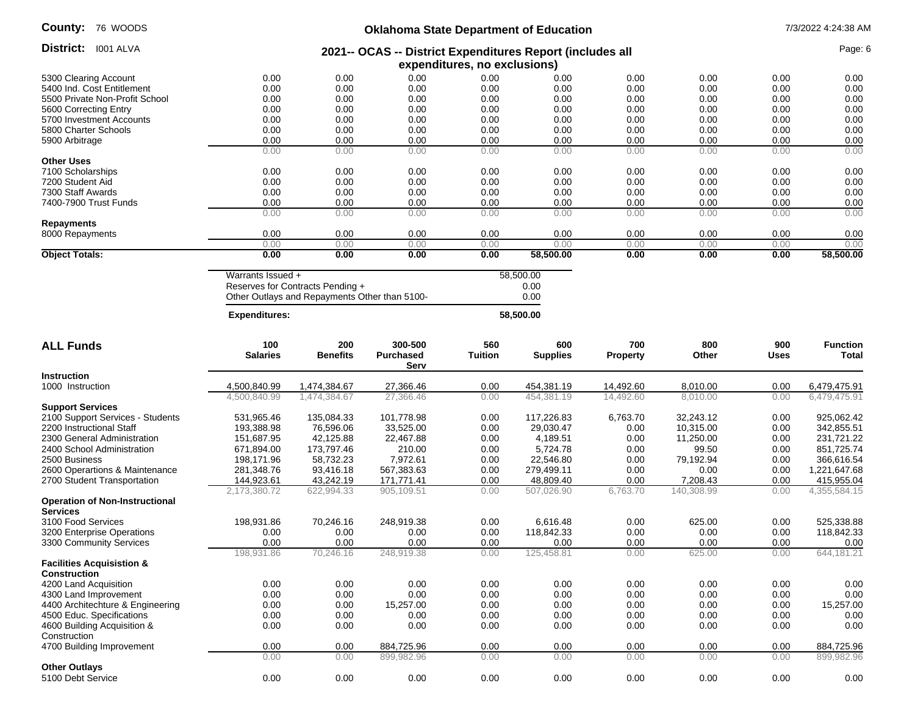| <b>County: 76 WOODS</b>        |                                               |      |      |                              | <b>Oklahoma State Department of Education</b>             |      |      |         | 7/3/2022 4:24:38 AM |
|--------------------------------|-----------------------------------------------|------|------|------------------------------|-----------------------------------------------------------|------|------|---------|---------------------|
| District:<br>I001 ALVA         |                                               |      |      |                              | 2021-- OCAS -- District Expenditures Report (includes all |      |      | Page: 6 |                     |
|                                |                                               |      |      | expenditures, no exclusions) |                                                           |      |      |         |                     |
| 5300 Clearing Account          | 0.00                                          | 0.00 | 0.00 | 0.00                         | 0.00                                                      | 0.00 | 0.00 | 0.00    | 0.00                |
| 5400 Ind. Cost Entitlement     | 0.00                                          | 0.00 | 0.00 | 0.00                         | 0.00                                                      | 0.00 | 0.00 | 0.00    | 0.00                |
| 5500 Private Non-Profit School | 0.00                                          | 0.00 | 0.00 | 0.00                         | 0.00                                                      | 0.00 | 0.00 | 0.00    | 0.00                |
| 5600 Correcting Entry          | 0.00                                          | 0.00 | 0.00 | 0.00                         | 0.00                                                      | 0.00 | 0.00 | 0.00    | 0.00                |
| 5700 Investment Accounts       | 0.00                                          | 0.00 | 0.00 | 0.00                         | 0.00                                                      | 0.00 | 0.00 | 0.00    | 0.00                |
| 5800 Charter Schools           | 0.00                                          | 0.00 | 0.00 | 0.00                         | 0.00                                                      | 0.00 | 0.00 | 0.00    | 0.00                |
| 5900 Arbitrage                 | 0.00                                          | 0.00 | 0.00 | 0.00                         | 0.00                                                      | 0.00 | 0.00 | 0.00    | 0.00                |
|                                | 0.00                                          | 0.00 | 0.00 | 0.00                         | 0.00                                                      | 0.00 | 0.00 | 0.00    | 0.00                |
| <b>Other Uses</b>              |                                               |      |      |                              |                                                           |      |      |         |                     |
| 7100 Scholarships              | 0.00                                          | 0.00 | 0.00 | 0.00                         | 0.00                                                      | 0.00 | 0.00 | 0.00    | 0.00                |
| 7200 Student Aid               | 0.00                                          | 0.00 | 0.00 | 0.00                         | 0.00                                                      | 0.00 | 0.00 | 0.00    | 0.00                |
| 7300 Staff Awards              | 0.00                                          | 0.00 | 0.00 | 0.00                         | 0.00                                                      | 0.00 | 0.00 | 0.00    | 0.00                |
| 7400-7900 Trust Funds          | 0.00                                          | 0.00 | 0.00 | 0.00                         | 0.00                                                      | 0.00 | 0.00 | 0.00    | 0.00                |
|                                | 0.00                                          | 0.00 | 0.00 | 0.00                         | 0.00                                                      | 0.00 | 0.00 | 0.00    | 0.00                |
| Repayments                     |                                               |      |      |                              |                                                           |      |      |         |                     |
| 8000 Repayments                | 0.00                                          | 0.00 | 0.00 | 0.00                         | 0.00                                                      | 0.00 | 0.00 | 0.00    | 0.00                |
|                                | 0.00                                          | 0.00 | 0.00 | 0.00                         | 0.00                                                      | 0.00 | 0.00 | 0.00    | 0.00                |
| <b>Object Totals:</b>          | 0.00                                          | 0.00 | 0.00 | 0.00                         | 58,500.00                                                 | 0.00 | 0.00 | 0.00    | 58,500.00           |
|                                | Warrants Issued +                             |      |      |                              |                                                           |      |      |         |                     |
|                                | Reserves for Contracts Pending +              |      |      |                              | 0.00                                                      |      |      |         |                     |
|                                | Other Outlays and Repayments Other than 5100- |      |      |                              | 0.00                                                      |      |      |         |                     |

Other Outlays and Repayments Other than 5100-

 **Expenditures: 58,500.00**

**ALL Funds 100 Salaries 200 Benefits 300-500 Purchased Serv 560 Tuition 600 Supplies 700 Property 800 Other 900 Uses Function Total Instruction**  1000 Instruction 4,500,840.99 1,474,384.67 27,366.46 0.00 454,381.19 14,492.60 8,010.00 0.00 6,479,475.91 4,500,840.99 1,474,384.67 27,366.46 0.00 454,381.19 14,492.60 8,010.00 0.00 6,479,475.91 **Support Services** 2100 Support Services - Students 531,965.46 135,084.33 101,778.98 0.00 117,226.83 6,763.70 32,243.12 0.00 925,062.42 2200 Instructional Staff 193,388.98 76,596.06 33,525.00 0.00 29,030.47 0.00 10,315.00 0.00 342,855.51 2300 General Administration 151,687.95 42,125.88 22,467.88 0.00 4,189.51 0.00 11,250.00 0.00 231,721.22 2400 School Administration 671,894.00 173,797.46 210.00 0.00 5,724.78 0.00 99.50 0.00 851,725.74 2500 Business 198,171.96 58,732.23 7,972.61 0.00 22,546.80 0.00 79,192.94 0.00 366,616.54 2600 Operartions & Maintenance 281,348.76 93,416.18 567,383.63 0.00 279,499.11 0.00 0.00 0.00 0.00 1,221,647.68<br>2700 Student Transportation 2144,923.61 43,242.19 171,771.41 0.00 48,809.40 0.00 7,208.43 0.00 415,955.04 2700 Student Transportation **144,923.61** 43,242.19 171,771.41 0.00 48,809.40 0.00 7,208.43 2,173,380.72 622,994.33 905,109.51 0.00 507,026.90 6,763.70 140,308.99 0.00 4,355,584.15 **Operation of Non-Instructional Services** 3100 Food Services 198,931.86 70,246.16 248,919.38 0.00 6,616.48 0.00 625.00 0.00 525,338.88 3200 Enterprise Operations **0.00** 0.00 0.00 0.00 0.00 0.00 0.00 118,842.33 0.00 0.00 0.00 118,842.33 3300 Community Services 0.00 0.00 0.00 0.00 0.00 0.00 0.00 0.00 0.00 198,931.86 70,246.16 248,919.38 0.00 125,458.81 0.00 625.00 0.00 644,181.21 **Facilities Acquisistion & Construction** 4200 Land Acquisition 0.00 0.00 0.00 0.00 0.00 0.00 0.00 0.00 0.00 4300 Land Improvement 0.00 0.00 0.00 0.00 0.00 0.00 0.00 0.00 0.00 4400 Architechture & Engineering 0.00 0.00 15,257.00 0.00 0.00 0.00 0.00 0.00 15,257.00 4500 Educ. Specifications 0.00 0.00 0.00 0.00 0.00 0.00 0.00 0.00 0.00 4600 Building Acquisition & Construction 0.00 0.00 0.00 0.00 0.00 0.00 0.00 0.00 0.00 4700 Building Improvement **10.00** 0.00 0.00 0.00 884,725.96 0.00 0.00 0.00 0.00 0.00 0.00 0.00 884,725.96 0.00 0.00 899,982.96 0.00 0.00 0.00 0.00 0.00 899,982.96 **Other Outlays** 5100 Debt Service 0.00 0.00 0.00 0.00 0.00 0.00 0.00 0.00